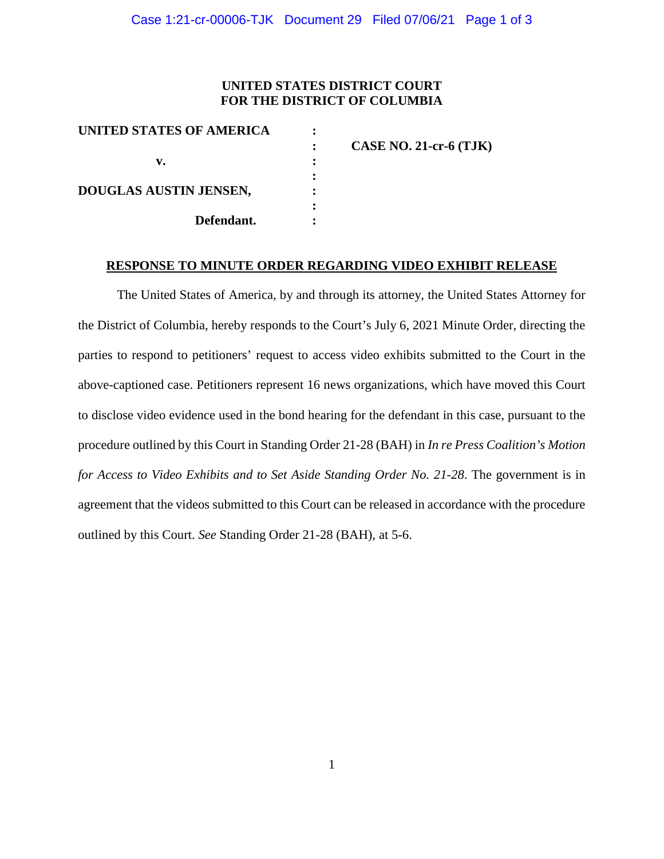## **UNITED STATES DISTRICT COURT FOR THE DISTRICT OF COLUMBIA**

| UNITED STATES OF AMERICA |                          |
|--------------------------|--------------------------|
|                          | $CASE NO. 21-cr-6 (TJK)$ |
| v.                       |                          |
|                          |                          |
| DOUGLAS AUSTIN JENSEN,   |                          |
|                          |                          |
| Defendant.               |                          |
|                          |                          |

## **RESPONSE TO MINUTE ORDER REGARDING VIDEO EXHIBIT RELEASE**

The United States of America, by and through its attorney, the United States Attorney for the District of Columbia, hereby responds to the Court's July 6, 2021 Minute Order, directing the parties to respond to petitioners' request to access video exhibits submitted to the Court in the above-captioned case. Petitioners represent 16 news organizations, which have moved this Court to disclose video evidence used in the bond hearing for the defendant in this case, pursuant to the procedure outlined by this Court in Standing Order 21-28 (BAH) in *In re Press Coalition's Motion for Access to Video Exhibits and to Set Aside Standing Order No. 21-28*. The government is in agreement that the videos submitted to this Court can be released in accordance with the procedure outlined by this Court. *See* Standing Order 21-28 (BAH), at 5-6.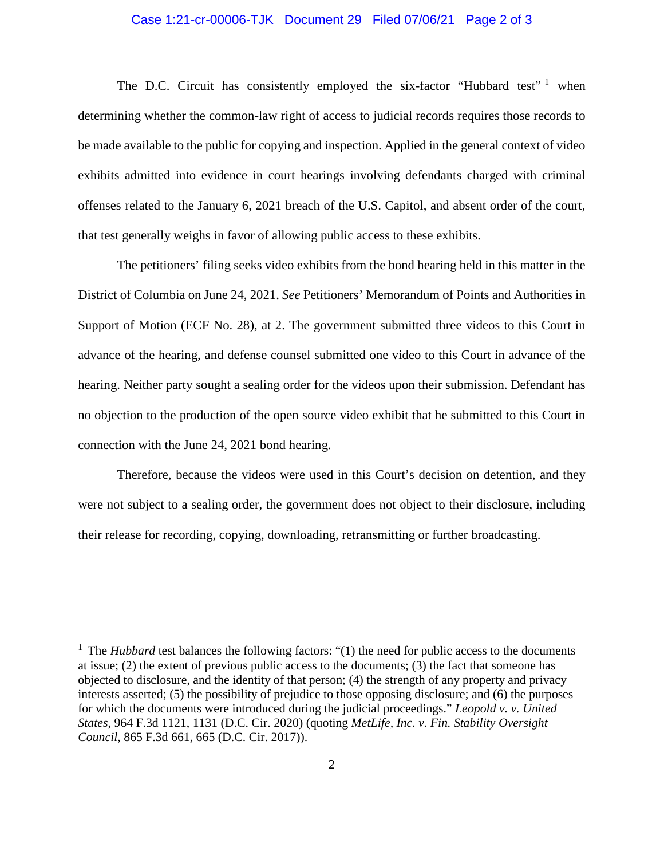## Case 1:21-cr-00006-TJK Document 29 Filed 07/06/21 Page 2 of 3

The D.C. Circuit has consistently employed the six-factor "Hubbard test"  $1$  when determining whether the common-law right of access to judicial records requires those records to be made available to the public for copying and inspection. Applied in the general context of video exhibits admitted into evidence in court hearings involving defendants charged with criminal offenses related to the January 6, 2021 breach of the U.S. Capitol, and absent order of the court, that test generally weighs in favor of allowing public access to these exhibits.

The petitioners' filing seeks video exhibits from the bond hearing held in this matter in the District of Columbia on June 24, 2021. *See* Petitioners' Memorandum of Points and Authorities in Support of Motion (ECF No. 28), at 2. The government submitted three videos to this Court in advance of the hearing, and defense counsel submitted one video to this Court in advance of the hearing. Neither party sought a sealing order for the videos upon their submission. Defendant has no objection to the production of the open source video exhibit that he submitted to this Court in connection with the June 24, 2021 bond hearing.

Therefore, because the videos were used in this Court's decision on detention, and they were not subject to a sealing order, the government does not object to their disclosure, including their release for recording, copying, downloading, retransmitting or further broadcasting.

<sup>&</sup>lt;sup>1</sup> The *Hubbard* test balances the following factors: "(1) the need for public access to the documents at issue; (2) the extent of previous public access to the documents; (3) the fact that someone has objected to disclosure, and the identity of that person; (4) the strength of any property and privacy interests asserted; (5) the possibility of prejudice to those opposing disclosure; and (6) the purposes for which the documents were introduced during the judicial proceedings." *Leopold v. v. United States*, 964 F.3d 1121, 1131 (D.C. Cir. 2020) (quoting *MetLife, Inc. v. Fin. Stability Oversight Council*, 865 F.3d 661, 665 (D.C. Cir. 2017)).